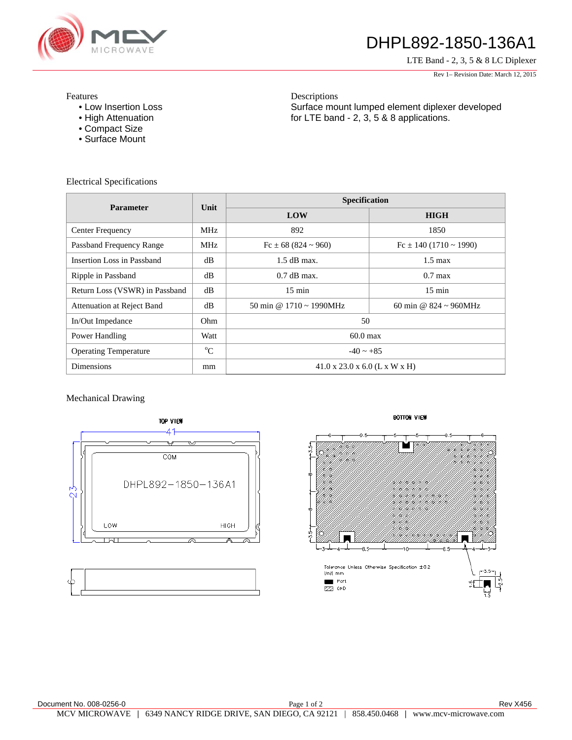

## DHPL892-1850-136A1

LTE Band - 2, 3, 5 & 8 LC Diplexer

Rev 1– Revision Date: March 12, 2015

Features

- Low Insertion Loss
- High Attenuation
- Compact Size
- Surface Mount

Descriptions Surface mount lumped element diplexer developed for LTE band - 2, 3, 5 & 8 applications.

Electrical Specifications

| <b>Parameter</b>               | Unit        | Specification                             |                                    |
|--------------------------------|-------------|-------------------------------------------|------------------------------------|
|                                |             | LOW                                       | <b>HIGH</b>                        |
| Center Frequency               | MHz         | 892                                       | 1850                               |
| Passband Frequency Range       | MHz         | $Fc \pm 68 (824 \approx 960)$             | $Fc \pm 140(1710 \sim 1990)$       |
| Insertion Loss in Passband     | dB          | $1.5$ dB max.                             | $1.5 \text{ max}$                  |
| Ripple in Passband             | dB          | $0.7$ dB max.                             | $0.7$ max                          |
| Return Loss (VSWR) in Passband | dB          | $15 \text{ min}$                          | $15 \text{ min}$                   |
| Attenuation at Reject Band     | dB          | 50 min @ $1710 \approx 1990 \text{MHz}$   | 60 min @ $824 \sim 960 \text{MHz}$ |
| In/Out Impedance               | Ohm.        | 50                                        |                                    |
| Power Handling                 | Watt        | $60.0$ max                                |                                    |
| <b>Operating Temperature</b>   | $\rm ^{o}C$ | $-40 \sim +85$                            |                                    |
| <b>Dimensions</b>              | mm          | $41.0 \times 23.0 \times 6.0$ (L x W x H) |                                    |

## Mechanical Drawing